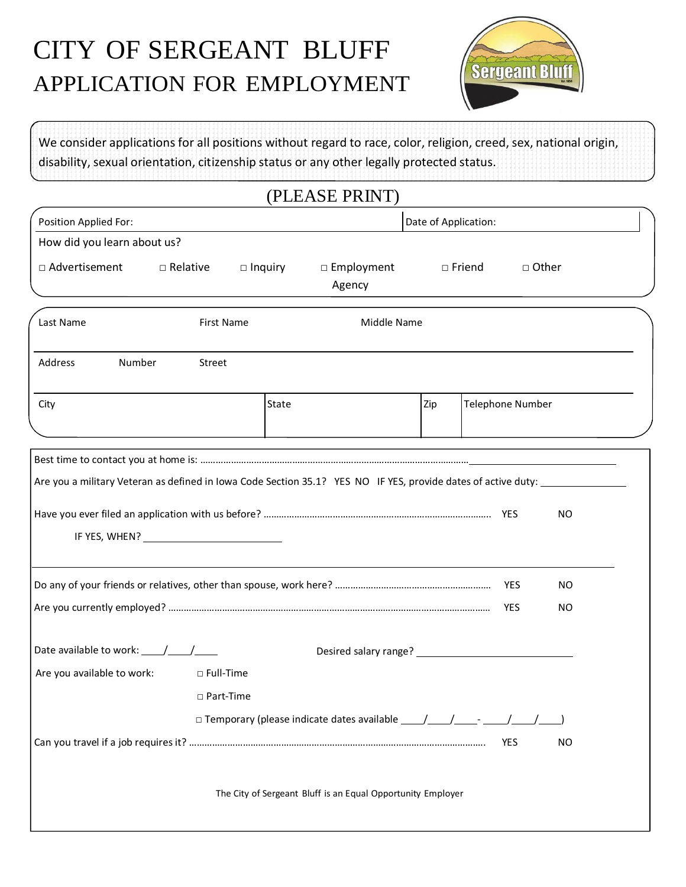# CITY OF SERGEANT BLUFF APPLICATION FOR EMPLOYMENT



We consider applications for all positions without regard to race, color, religion, creed, sex, national origin, disability, sexual orientation, citizenship status or any other legally protected status.

#### (PLEASE PRINT)

| Position Applied For:                                                                                         | Date of Application:                                        |     |                         |           |  |
|---------------------------------------------------------------------------------------------------------------|-------------------------------------------------------------|-----|-------------------------|-----------|--|
| How did you learn about us?                                                                                   |                                                             |     |                         |           |  |
| □ Advertisement<br>$\Box$ Relative<br>$\Box$ Inquiry                                                          | $\square$ Employment<br>Agency                              |     | $\Box$ Friend           | □ Other   |  |
| Last Name<br><b>First Name</b>                                                                                | Middle Name                                                 |     |                         |           |  |
| Number<br>Address<br><b>Street</b>                                                                            |                                                             |     |                         |           |  |
| City                                                                                                          | State                                                       | Zip | <b>Telephone Number</b> |           |  |
|                                                                                                               |                                                             |     |                         |           |  |
|                                                                                                               |                                                             |     |                         |           |  |
| Are you a military Veteran as defined in Iowa Code Section 35.1? YES NO IF YES, provide dates of active duty: |                                                             |     |                         |           |  |
|                                                                                                               |                                                             |     |                         | NO        |  |
|                                                                                                               |                                                             |     |                         | <b>NO</b> |  |
|                                                                                                               |                                                             |     |                         | <b>NO</b> |  |
| Date available to work: $\frac{1}{\sqrt{1-\frac{1}{2}}}$                                                      |                                                             |     |                         |           |  |
| Are you available to work:<br>□ Full-Time                                                                     |                                                             |     |                         |           |  |
| □ Part-Time                                                                                                   |                                                             |     |                         |           |  |
|                                                                                                               | $\Box$ Temporary (please indicate dates available $\Box$    |     |                         |           |  |
|                                                                                                               |                                                             |     | <b>YES</b>              | <b>NO</b> |  |
|                                                                                                               | The City of Sergeant Bluff is an Equal Opportunity Employer |     |                         |           |  |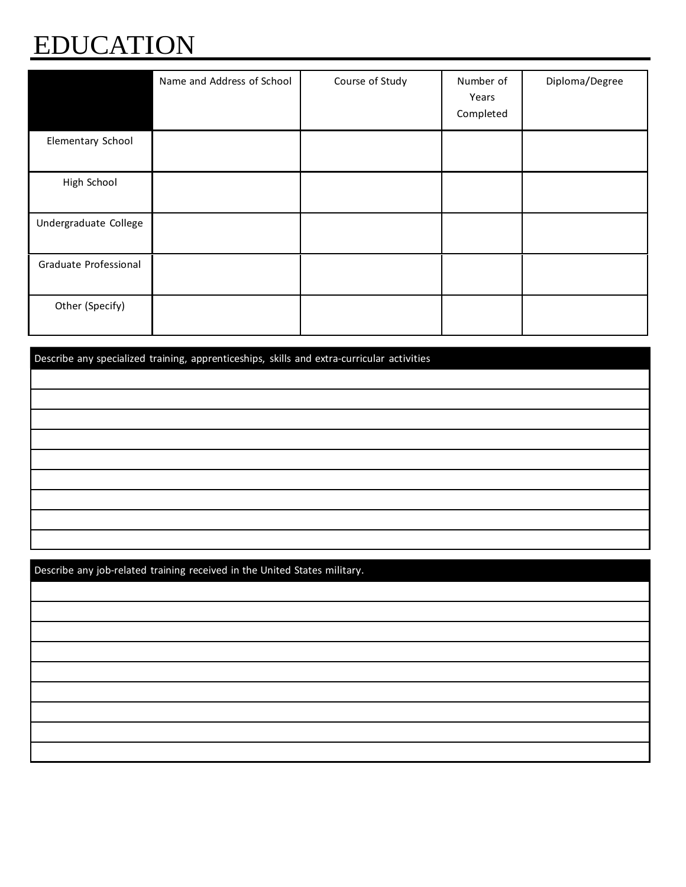# EDUCATION

|                       | Name and Address of School | Course of Study | Number of<br>Years<br>Completed | Diploma/Degree |
|-----------------------|----------------------------|-----------------|---------------------------------|----------------|
| Elementary School     |                            |                 |                                 |                |
| High School           |                            |                 |                                 |                |
| Undergraduate College |                            |                 |                                 |                |
| Graduate Professional |                            |                 |                                 |                |
| Other (Specify)       |                            |                 |                                 |                |

Describe any specialized training, apprenticeships, skills and extra-curricular activities.

Describe any job-related training received in the United States military..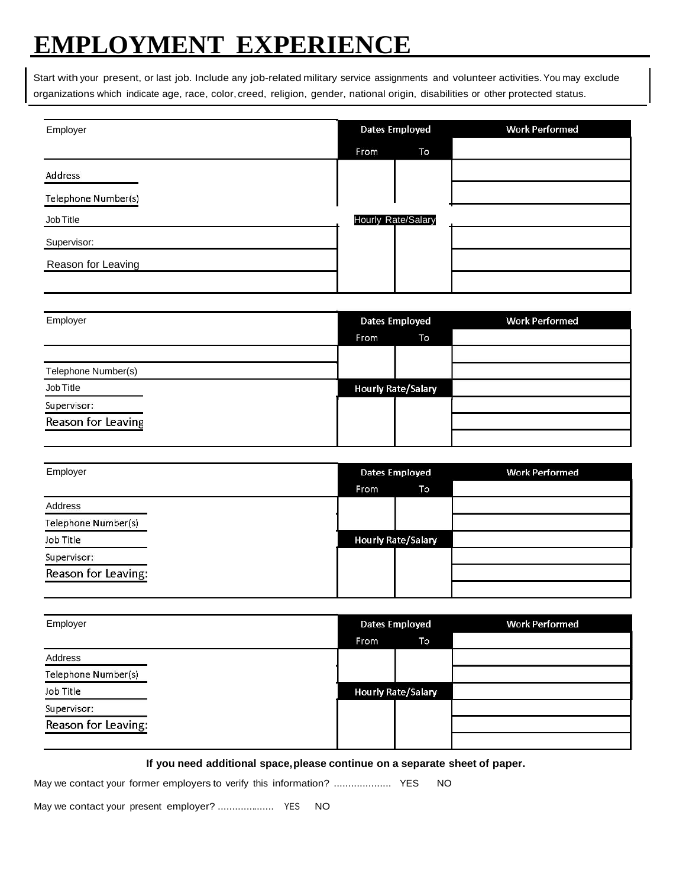## **EMPLOYMENT EXPERIENCE**

Start with your present, or last job. Include any job-related military service assignments and volunteer activities.You may exclude organizations which indicate age, race, color, creed, religion, gender, national origin, disabilities or other protected status.

| Employer            | <b>Dates Employed</b> | <b>Work Performed</b> |
|---------------------|-----------------------|-----------------------|
|                     | To<br>From            |                       |
| Address             |                       |                       |
| Telephone Number(s) |                       |                       |
| Job Title           | Hourly Rate/Salary    |                       |
| Supervisor:         |                       |                       |
| Reason for Leaving  |                       |                       |
|                     |                       |                       |

| Employer            | <b>Dates Employed</b> |                           | <b>Work Performed</b> |
|---------------------|-----------------------|---------------------------|-----------------------|
|                     | From                  | To                        |                       |
|                     |                       |                           |                       |
| Telephone Number(s) |                       |                           |                       |
| Job Title           |                       | <b>Hourly Rate/Salary</b> |                       |
| Supervisor:         |                       |                           |                       |
| Reason for Leaving  |                       |                           |                       |
|                     |                       |                           |                       |

| Employer            |      | Dates Employed |                           | <b>Work Performed</b> |
|---------------------|------|----------------|---------------------------|-----------------------|
|                     | From |                | To                        |                       |
| Address             |      |                |                           |                       |
| Telephone Number(s) |      |                |                           |                       |
| Job Title           |      |                | <b>Hourly Rate/Salary</b> |                       |
| Supervisor:         |      |                |                           |                       |
| Reason for Leaving: |      |                |                           |                       |
|                     |      |                |                           |                       |

| Employer            |             | Dates Employed            | <b>Work Performed</b> |
|---------------------|-------------|---------------------------|-----------------------|
|                     | <b>From</b> | To                        |                       |
| Address             |             |                           |                       |
| Telephone Number(s) |             |                           |                       |
| Job Title           |             | <b>Hourly Rate/Salary</b> |                       |
| Supervisor:         |             |                           |                       |
| Reason for Leaving: |             |                           |                       |
|                     |             |                           |                       |

**If you need additional space,please continue on a separate sheet of paper.**

May we contact your former employers to verify this information? .................... YES NO

May we contact your present employer? ....................... YES NO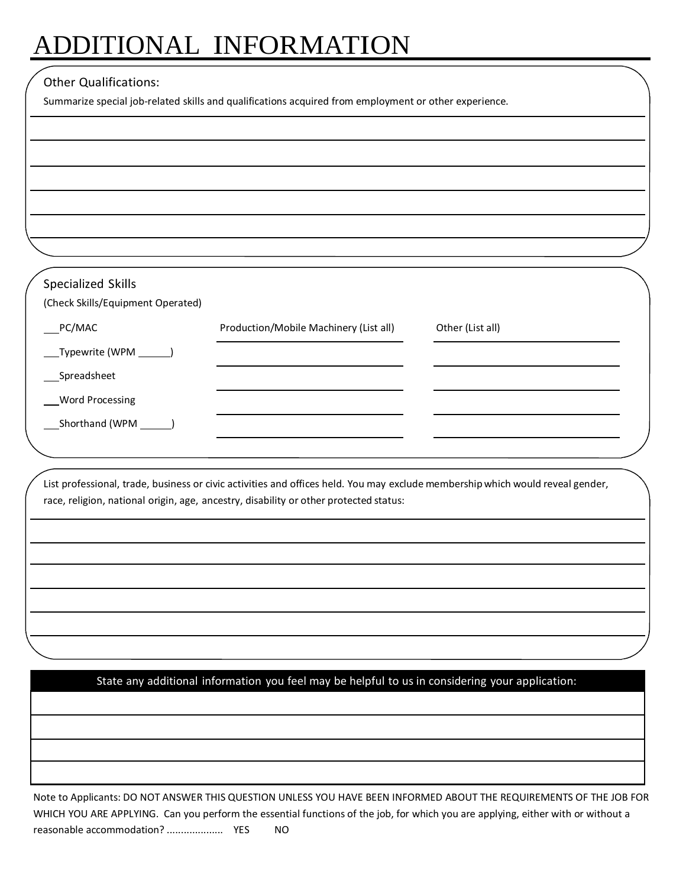# ADDITIONAL INFORMATION

#### Other Qualifications:

Summarize special job-related skills and qualifications acquired from employment or other experience.

| Specialized Skills<br>(Check Skills/Equipment Operated) |                                        |                  |
|---------------------------------------------------------|----------------------------------------|------------------|
| PC/MAC                                                  | Production/Mobile Machinery (List all) | Other (List all) |
|                                                         |                                        |                  |
| Typewrite (WPM _______)                                 |                                        |                  |
| Spreadsheet                                             |                                        |                  |
| <b>Word Processing</b>                                  |                                        |                  |
| Shorthand (WPM                                          |                                        |                  |
|                                                         |                                        |                  |

List professional, trade, business or civic activities and offices held. You may exclude membershipwhich would reveal gender, race, religion, national origin, age, ancestry, disability or other protected status:

State any additional information you feel may be helpful to us in considering your application:

Note to Applicants: DO NOT ANSWER THIS QUESTION UNLESS YOU HAVE BEEN INFORMED ABOUT THE REQUIREMENTS OF THE JOB FOR WHICH YOU ARE APPLYING. Can you perform the essential functions of the job, for which you are applying, either with or without a reasonable accommodation? .................... YES NO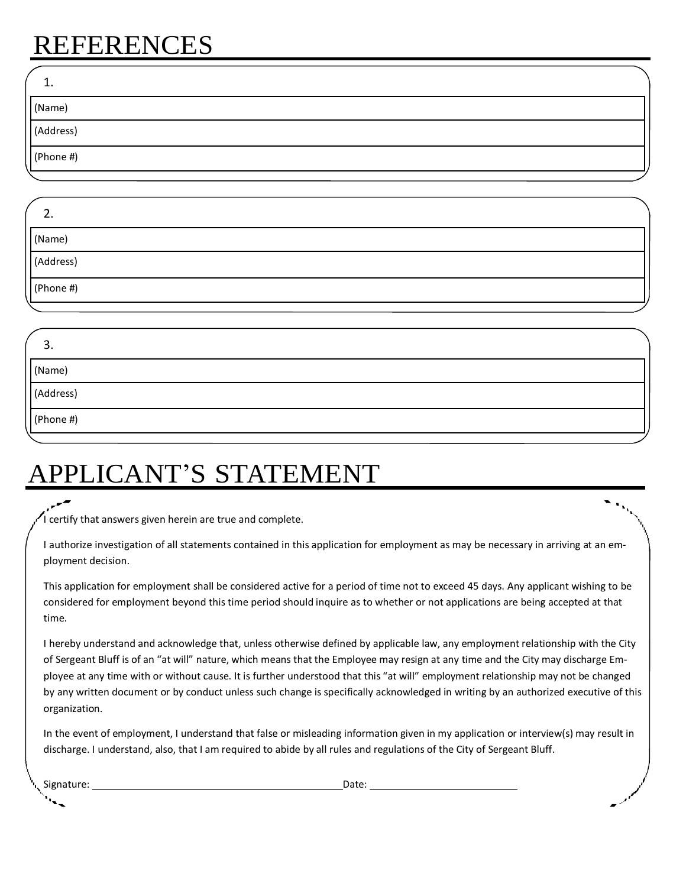### REFERENCES

| ، ۔       |  |
|-----------|--|
| (Name)    |  |
| (Address) |  |
| (Phone #) |  |
|           |  |

| <u>.</u>               |  |
|------------------------|--|
| (Name)                 |  |
| Address)<br><u>   </u> |  |
| (Phone  #)             |  |
|                        |  |

| <u>.</u>   |  |
|------------|--|
| (Name)     |  |
| (Address)  |  |
| (Phone  #) |  |
|            |  |

## APPLICANT'S STATEMENT

I certify that answers given herein are true and complete.

I authorize investigation of all statements contained in this application for employment as may be necessary in arriving at an employment decision.

This application for employment shall be considered active for a period of time not to exceed 45 days. Any applicant wishing to be considered for employment beyond this time period should inquire as to whether or not applications are being accepted at that time.

I hereby understand and acknowledge that, unless otherwise defined by applicable law, any employment relationship with the City of Sergeant Bluff is of an "at will" nature, which means that the Employee may resign at any time and the City may discharge Employee at any time with or without cause. It is further understood that this "at will" employment relationship may not be changed by any written document or by conduct unless such change is specifically acknowledged in writing by an authorized executive of this organization.

In the event of employment, I understand that false or misleading information given in my application or interview(s) may result in discharge. I understand, also, that I am required to abide by all rules and regulations of the City of Sergeant Bluff.

Signature: Date: